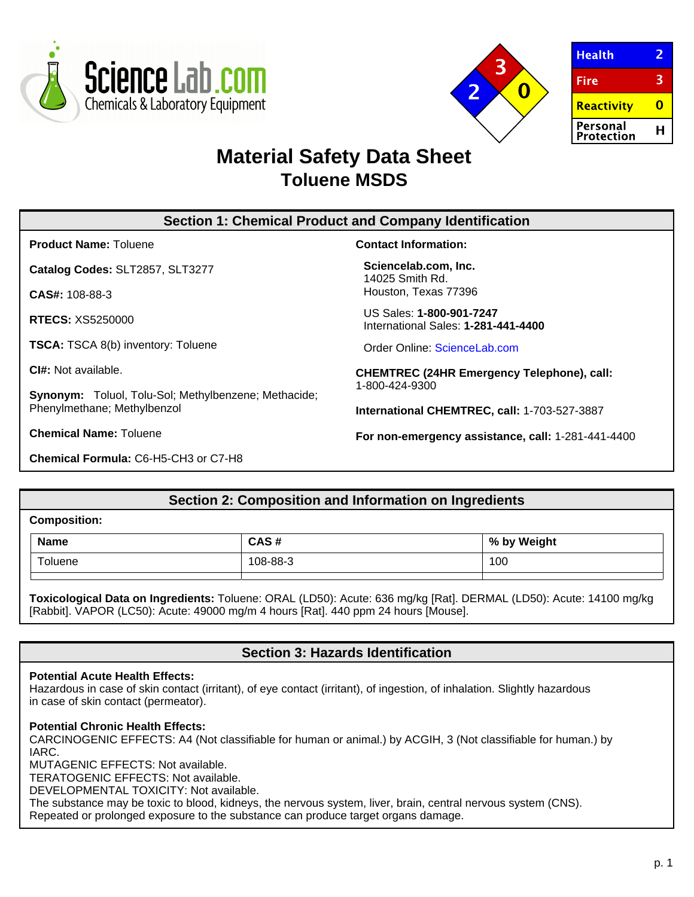



| <b>Health</b>          |   |
|------------------------|---|
| Fire                   | З |
| Reactivity             |   |
| Personal<br>Protection | н |

# **Material Safety Data Sheet Toluene MSDS**

# **Section 1: Chemical Product and Company Identification**

**Product Name:** Toluene

**Catalog Codes:** SLT2857, SLT3277

**CAS#:** 108-88-3

**RTECS:** XS5250000

**TSCA:** TSCA 8(b) inventory: Toluene

**CI#:** Not available.

**Synonym:** Toluol, Tolu-Sol; Methylbenzene; Methacide; Phenylmethane; Methylbenzol

**Chemical Name:** Toluene

**Chemical Formula:** C6-H5-CH3 or C7-H8

**Contact Information:**

**Sciencelab.com, Inc.** 14025 Smith Rd. Houston, Texas 77396

US Sales: **1-800-901-7247** International Sales: **1-281-441-4400**

Order Online: [ScienceLab.com](http://www.sciencelab.com/)

**CHEMTREC (24HR Emergency Telephone), call:** 1-800-424-9300

**International CHEMTREC, call:** 1-703-527-3887

**For non-emergency assistance, call:** 1-281-441-4400

# **Section 2: Composition and Information on Ingredients**

**Composition:**

| <b>Name</b>   | CAS#     | % by Weight<br>. . |
|---------------|----------|--------------------|
| $-$<br>oluene | 108-88-3 | 100                |
|               |          |                    |

**Toxicological Data on Ingredients:** Toluene: ORAL (LD50): Acute: 636 mg/kg [Rat]. DERMAL (LD50): Acute: 14100 mg/kg [Rabbit]. VAPOR (LC50): Acute: 49000 mg/m 4 hours [Rat]. 440 ppm 24 hours [Mouse].

# **Section 3: Hazards Identification**

# **Potential Acute Health Effects:**

Hazardous in case of skin contact (irritant), of eye contact (irritant), of ingestion, of inhalation. Slightly hazardous in case of skin contact (permeator).

#### **Potential Chronic Health Effects:**

CARCINOGENIC EFFECTS: A4 (Not classifiable for human or animal.) by ACGIH, 3 (Not classifiable for human.) by IARC.

MUTAGENIC EFFECTS: Not available.

TERATOGENIC EFFECTS: Not available.

DEVELOPMENTAL TOXICITY: Not available.

The substance may be toxic to blood, kidneys, the nervous system, liver, brain, central nervous system (CNS). Repeated or prolonged exposure to the substance can produce target organs damage.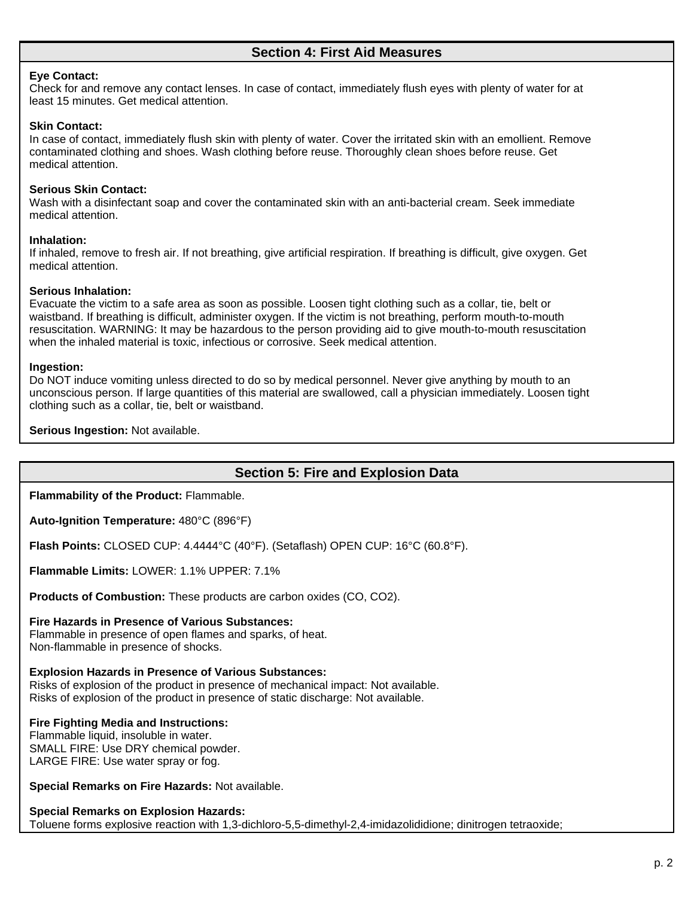### **Eye Contact:**

Check for and remove any contact lenses. In case of contact, immediately flush eyes with plenty of water for at least 15 minutes. Get medical attention.

### **Skin Contact:**

In case of contact, immediately flush skin with plenty of water. Cover the irritated skin with an emollient. Remove contaminated clothing and shoes. Wash clothing before reuse. Thoroughly clean shoes before reuse. Get medical attention.

# **Serious Skin Contact:**

Wash with a disinfectant soap and cover the contaminated skin with an anti-bacterial cream. Seek immediate medical attention.

### **Inhalation:**

If inhaled, remove to fresh air. If not breathing, give artificial respiration. If breathing is difficult, give oxygen. Get medical attention.

### **Serious Inhalation:**

Evacuate the victim to a safe area as soon as possible. Loosen tight clothing such as a collar, tie, belt or waistband. If breathing is difficult, administer oxygen. If the victim is not breathing, perform mouth-to-mouth resuscitation. WARNING: It may be hazardous to the person providing aid to give mouth-to-mouth resuscitation when the inhaled material is toxic, infectious or corrosive. Seek medical attention.

### **Ingestion:**

Do NOT induce vomiting unless directed to do so by medical personnel. Never give anything by mouth to an unconscious person. If large quantities of this material are swallowed, call a physician immediately. Loosen tight clothing such as a collar, tie, belt or waistband.

**Serious Ingestion:** Not available.

# **Section 5: Fire and Explosion Data**

**Flammability of the Product:** Flammable.

**Auto-Ignition Temperature:** 480°C (896°F)

**Flash Points:** CLOSED CUP: 4.4444°C (40°F). (Setaflash) OPEN CUP: 16°C (60.8°F).

**Flammable Limits:** LOWER: 1.1% UPPER: 7.1%

**Products of Combustion:** These products are carbon oxides (CO, CO2).

# **Fire Hazards in Presence of Various Substances:**

Flammable in presence of open flames and sparks, of heat. Non-flammable in presence of shocks.

**Explosion Hazards in Presence of Various Substances:** Risks of explosion of the product in presence of mechanical impact: Not available. Risks of explosion of the product in presence of static discharge: Not available.

# **Fire Fighting Media and Instructions:**

Flammable liquid, insoluble in water. SMALL FIRE: Use DRY chemical powder. LARGE FIRE: Use water spray or fog.

**Special Remarks on Fire Hazards:** Not available.

# **Special Remarks on Explosion Hazards:**

Toluene forms explosive reaction with 1,3-dichloro-5,5-dimethyl-2,4-imidazolididione; dinitrogen tetraoxide;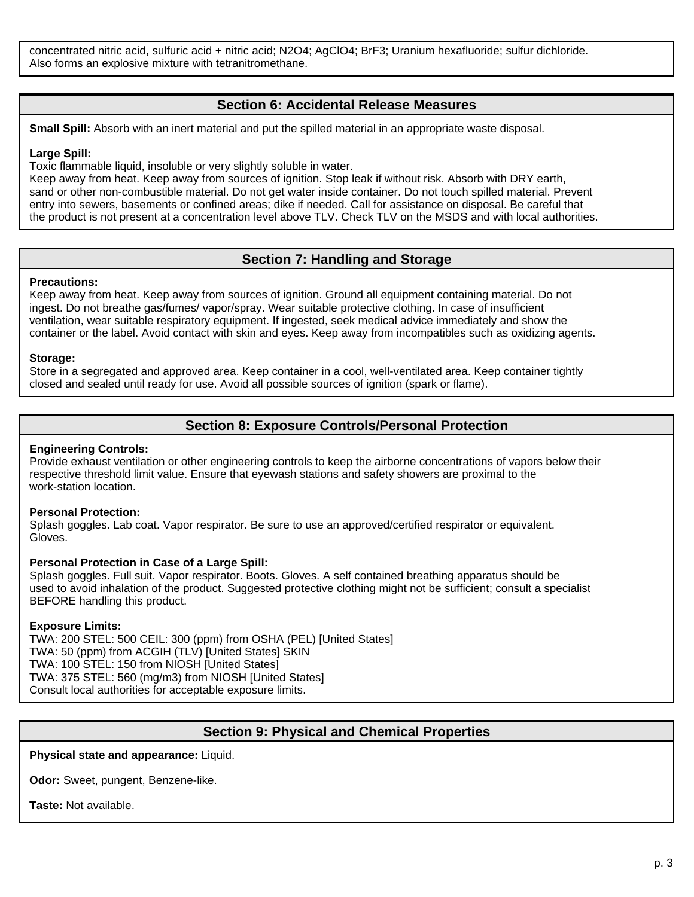concentrated nitric acid, sulfuric acid + nitric acid; N2O4; AgClO4; BrF3; Uranium hexafluoride; sulfur dichloride. Also forms an explosive mixture with tetranitromethane.

# **Section 6: Accidental Release Measures**

**Small Spill:** Absorb with an inert material and put the spilled material in an appropriate waste disposal.

#### **Large Spill:**

Toxic flammable liquid, insoluble or very slightly soluble in water.

Keep away from heat. Keep away from sources of ignition. Stop leak if without risk. Absorb with DRY earth, sand or other non-combustible material. Do not get water inside container. Do not touch spilled material. Prevent entry into sewers, basements or confined areas; dike if needed. Call for assistance on disposal. Be careful that the product is not present at a concentration level above TLV. Check TLV on the MSDS and with local authorities.

# **Section 7: Handling and Storage**

#### **Precautions:**

Keep away from heat. Keep away from sources of ignition. Ground all equipment containing material. Do not ingest. Do not breathe gas/fumes/ vapor/spray. Wear suitable protective clothing. In case of insufficient ventilation, wear suitable respiratory equipment. If ingested, seek medical advice immediately and show the container or the label. Avoid contact with skin and eyes. Keep away from incompatibles such as oxidizing agents.

#### **Storage:**

Store in a segregated and approved area. Keep container in a cool, well-ventilated area. Keep container tightly closed and sealed until ready for use. Avoid all possible sources of ignition (spark or flame).

# **Section 8: Exposure Controls/Personal Protection**

### **Engineering Controls:**

Provide exhaust ventilation or other engineering controls to keep the airborne concentrations of vapors below their respective threshold limit value. Ensure that eyewash stations and safety showers are proximal to the work-station location.

#### **Personal Protection:**

Splash goggles. Lab coat. Vapor respirator. Be sure to use an approved/certified respirator or equivalent. Gloves.

#### **Personal Protection in Case of a Large Spill:**

Splash goggles. Full suit. Vapor respirator. Boots. Gloves. A self contained breathing apparatus should be used to avoid inhalation of the product. Suggested protective clothing might not be sufficient; consult a specialist BEFORE handling this product.

#### **Exposure Limits:**

TWA: 200 STEL: 500 CEIL: 300 (ppm) from OSHA (PEL) [United States] TWA: 50 (ppm) from ACGIH (TLV) [United States] SKIN TWA: 100 STEL: 150 from NIOSH [United States] TWA: 375 STEL: 560 (mg/m3) from NIOSH [United States] Consult local authorities for acceptable exposure limits.

# **Section 9: Physical and Chemical Properties**

**Physical state and appearance:** Liquid.

**Odor:** Sweet, pungent, Benzene-like.

**Taste:** Not available.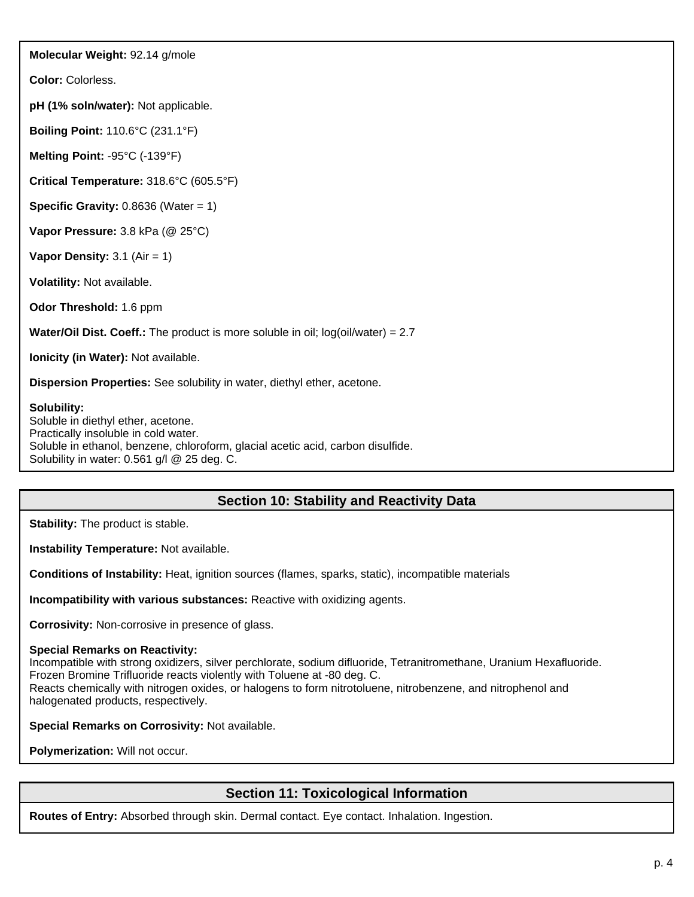**Molecular Weight:** 92.14 g/mole

**Color:** Colorless.

**pH (1% soln/water):** Not applicable.

**Boiling Point:** 110.6°C (231.1°F)

**Melting Point:** -95°C (-139°F)

**Critical Temperature:** 318.6°C (605.5°F)

**Specific Gravity:** 0.8636 (Water = 1)

**Vapor Pressure:** 3.8 kPa (@ 25°C)

**Vapor Density:** 3.1 (Air = 1)

**Volatility:** Not available.

**Odor Threshold:** 1.6 ppm

**Water/Oil Dist. Coeff.:** The product is more soluble in oil; log(oil/water) = 2.7

**Ionicity (in Water):** Not available.

**Dispersion Properties:** See solubility in water, diethyl ether, acetone.

**Solubility:**

Soluble in diethyl ether, acetone. Practically insoluble in cold water. Soluble in ethanol, benzene, chloroform, glacial acetic acid, carbon disulfide. Solubility in water: 0.561 g/l @ 25 deg. C.

# **Section 10: Stability and Reactivity Data**

**Stability:** The product is stable.

**Instability Temperature:** Not available.

**Conditions of Instability:** Heat, ignition sources (flames, sparks, static), incompatible materials

**Incompatibility with various substances:** Reactive with oxidizing agents.

**Corrosivity:** Non-corrosive in presence of glass.

**Special Remarks on Reactivity:**

Incompatible with strong oxidizers, silver perchlorate, sodium difluoride, Tetranitromethane, Uranium Hexafluoride. Frozen Bromine Trifluoride reacts violently with Toluene at -80 deg. C. Reacts chemically with nitrogen oxides, or halogens to form nitrotoluene, nitrobenzene, and nitrophenol and halogenated products, respectively.

**Special Remarks on Corrosivity:** Not available.

**Polymerization:** Will not occur.

# **Section 11: Toxicological Information**

**Routes of Entry:** Absorbed through skin. Dermal contact. Eye contact. Inhalation. Ingestion.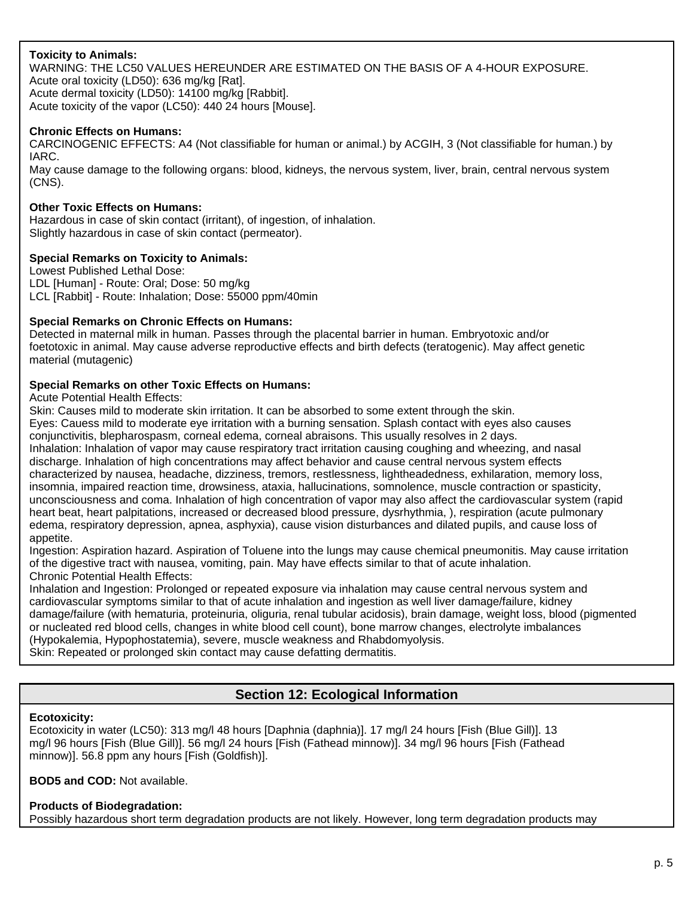# **Toxicity to Animals:**

WARNING: THE LC50 VALUES HEREUNDER ARE ESTIMATED ON THE BASIS OF A 4-HOUR EXPOSURE. Acute oral toxicity (LD50): 636 mg/kg [Rat]. Acute dermal toxicity (LD50): 14100 mg/kg [Rabbit]. Acute toxicity of the vapor (LC50): 440 24 hours [Mouse].

# **Chronic Effects on Humans:**

CARCINOGENIC EFFECTS: A4 (Not classifiable for human or animal.) by ACGIH, 3 (Not classifiable for human.) by IARC.

May cause damage to the following organs: blood, kidneys, the nervous system, liver, brain, central nervous system (CNS).

# **Other Toxic Effects on Humans:**

Hazardous in case of skin contact (irritant), of ingestion, of inhalation. Slightly hazardous in case of skin contact (permeator).

### **Special Remarks on Toxicity to Animals:**

Lowest Published Lethal Dose: LDL [Human] - Route: Oral; Dose: 50 mg/kg LCL [Rabbit] - Route: Inhalation; Dose: 55000 ppm/40min

# **Special Remarks on Chronic Effects on Humans:**

Detected in maternal milk in human. Passes through the placental barrier in human. Embryotoxic and/or foetotoxic in animal. May cause adverse reproductive effects and birth defects (teratogenic). May affect genetic material (mutagenic)

### **Special Remarks on other Toxic Effects on Humans:**

Acute Potential Health Effects:

Skin: Causes mild to moderate skin irritation. It can be absorbed to some extent through the skin. Eyes: Cauess mild to moderate eye irritation with a burning sensation. Splash contact with eyes also causes conjunctivitis, blepharospasm, corneal edema, corneal abraisons. This usually resolves in 2 days. Inhalation: Inhalation of vapor may cause respiratory tract irritation causing coughing and wheezing, and nasal discharge. Inhalation of high concentrations may affect behavior and cause central nervous system effects characterized by nausea, headache, dizziness, tremors, restlessness, lightheadedness, exhilaration, memory loss, insomnia, impaired reaction time, drowsiness, ataxia, hallucinations, somnolence, muscle contraction or spasticity, unconsciousness and coma. Inhalation of high concentration of vapor may also affect the cardiovascular system (rapid heart beat, heart palpitations, increased or decreased blood pressure, dysrhythmia, ), respiration (acute pulmonary edema, respiratory depression, apnea, asphyxia), cause vision disturbances and dilated pupils, and cause loss of appetite.

Ingestion: Aspiration hazard. Aspiration of Toluene into the lungs may cause chemical pneumonitis. May cause irritation of the digestive tract with nausea, vomiting, pain. May have effects similar to that of acute inhalation. Chronic Potential Health Effects:

Inhalation and Ingestion: Prolonged or repeated exposure via inhalation may cause central nervous system and cardiovascular symptoms similar to that of acute inhalation and ingestion as well liver damage/failure, kidney damage/failure (with hematuria, proteinuria, oliguria, renal tubular acidosis), brain damage, weight loss, blood (pigmented or nucleated red blood cells, changes in white blood cell count), bone marrow changes, electrolyte imbalances (Hypokalemia, Hypophostatemia), severe, muscle weakness and Rhabdomyolysis.

Skin: Repeated or prolonged skin contact may cause defatting dermatitis.

# **Section 12: Ecological Information**

#### **Ecotoxicity:**

Ecotoxicity in water (LC50): 313 mg/l 48 hours [Daphnia (daphnia)]. 17 mg/l 24 hours [Fish (Blue Gill)]. 13 mg/l 96 hours [Fish (Blue Gill)]. 56 mg/l 24 hours [Fish (Fathead minnow)]. 34 mg/l 96 hours [Fish (Fathead minnow)]. 56.8 ppm any hours [Fish (Goldfish)].

**BOD5 and COD:** Not available.

# **Products of Biodegradation:**

Possibly hazardous short term degradation products are not likely. However, long term degradation products may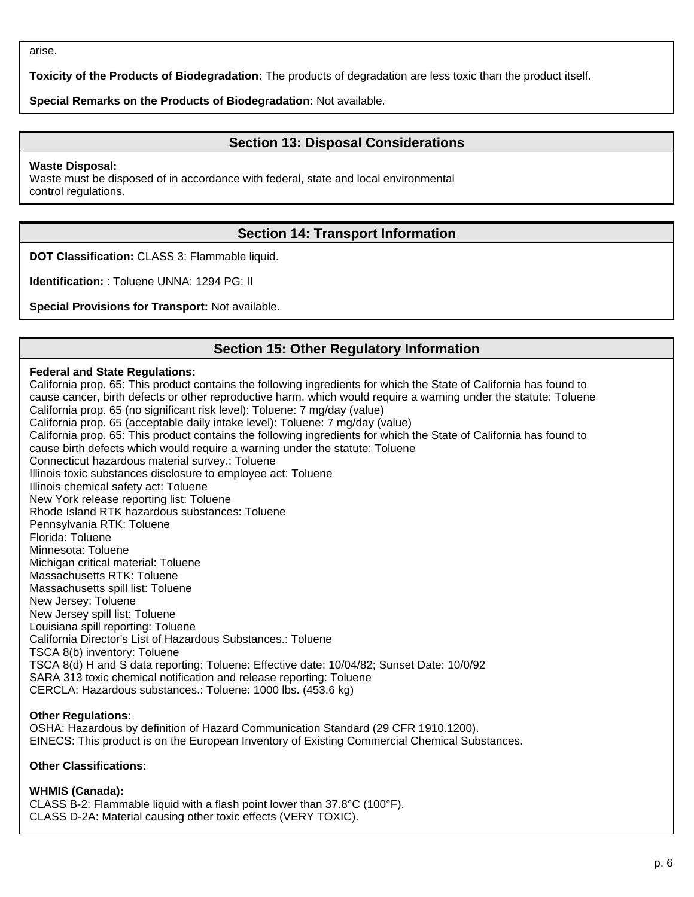arise.

**Toxicity of the Products of Biodegradation:** The products of degradation are less toxic than the product itself.

**Special Remarks on the Products of Biodegradation:** Not available.

# **Section 13: Disposal Considerations**

**Waste Disposal:**

Waste must be disposed of in accordance with federal, state and local environmental control regulations.

# **Section 14: Transport Information**

**DOT Classification:** CLASS 3: Flammable liquid.

**Identification:** : Toluene UNNA: 1294 PG: II

**Special Provisions for Transport:** Not available.

# **Section 15: Other Regulatory Information**

### **Federal and State Regulations:**

California prop. 65: This product contains the following ingredients for which the State of California has found to cause cancer, birth defects or other reproductive harm, which would require a warning under the statute: Toluene California prop. 65 (no significant risk level): Toluene: 7 mg/day (value) California prop. 65 (acceptable daily intake level): Toluene: 7 mg/day (value) California prop. 65: This product contains the following ingredients for which the State of California has found to cause birth defects which would require a warning under the statute: Toluene Connecticut hazardous material survey.: Toluene Illinois toxic substances disclosure to employee act: Toluene Illinois chemical safety act: Toluene New York release reporting list: Toluene Rhode Island RTK hazardous substances: Toluene Pennsylvania RTK: Toluene Florida: Toluene Minnesota: Toluene Michigan critical material: Toluene Massachusetts RTK: Toluene Massachusetts spill list: Toluene New Jersey: Toluene New Jersey spill list: Toluene Louisiana spill reporting: Toluene California Director's List of Hazardous Substances.: Toluene TSCA 8(b) inventory: Toluene TSCA 8(d) H and S data reporting: Toluene: Effective date: 10/04/82; Sunset Date: 10/0/92 SARA 313 toxic chemical notification and release reporting: Toluene CERCLA: Hazardous substances.: Toluene: 1000 lbs. (453.6 kg)

#### **Other Regulations:**

OSHA: Hazardous by definition of Hazard Communication Standard (29 CFR 1910.1200). EINECS: This product is on the European Inventory of Existing Commercial Chemical Substances.

### **Other Classifications:**

#### **WHMIS (Canada):**

CLASS B-2: Flammable liquid with a flash point lower than 37.8°C (100°F). CLASS D-2A: Material causing other toxic effects (VERY TOXIC).